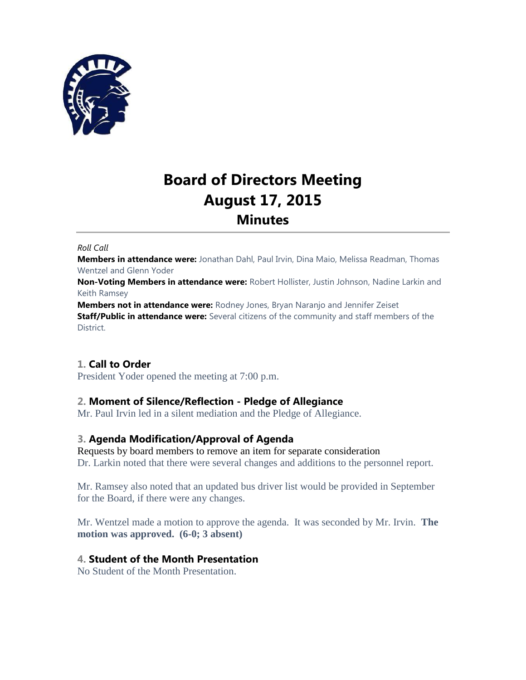

# **Board of Directors Meeting August 17, 2015 Minutes**

#### *Roll Call*

**Members in attendance were:** Jonathan Dahl, Paul Irvin, Dina Maio, Melissa Readman, Thomas Wentzel and Glenn Yoder

**Non-Voting Members in attendance were:** Robert Hollister, Justin Johnson, Nadine Larkin and Keith Ramsey

**Members not in attendance were:** Rodney Jones, Bryan Naranjo and Jennifer Zeiset **Staff/Public in attendance were:** Several citizens of the community and staff members of the District.

# **1. Call to Order**

President Yoder opened the meeting at 7:00 p.m.

# **2. Moment of Silence/Reflection - Pledge of Allegiance**

Mr. Paul Irvin led in a silent mediation and the Pledge of Allegiance.

# **3. Agenda Modification/Approval of Agenda**

Requests by board members to remove an item for separate consideration Dr. Larkin noted that there were several changes and additions to the personnel report.

Mr. Ramsey also noted that an updated bus driver list would be provided in September for the Board, if there were any changes.

Mr. Wentzel made a motion to approve the agenda. It was seconded by Mr. Irvin. **The motion was approved. (6-0; 3 absent)**

# **4. Student of the Month Presentation**

No Student of the Month Presentation.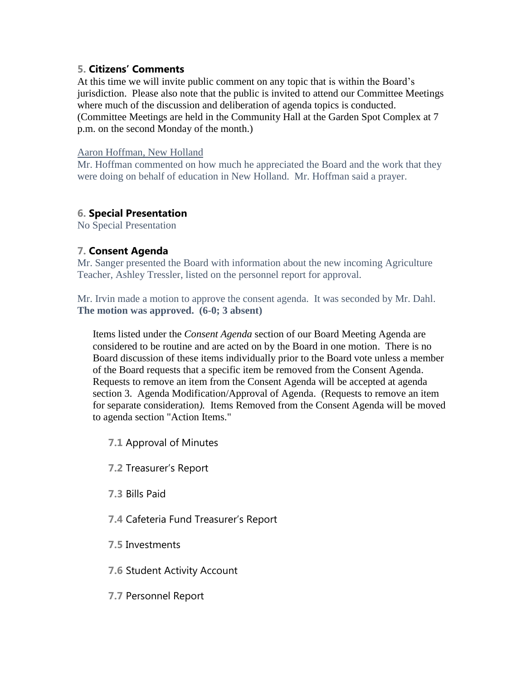# **5. Citizens' Comments**

At this time we will invite public comment on any topic that is within the Board's jurisdiction. Please also note that the public is invited to attend our Committee Meetings where much of the discussion and deliberation of agenda topics is conducted. (Committee Meetings are held in the Community Hall at the Garden Spot Complex at 7 p.m. on the second Monday of the month.)

#### Aaron Hoffman, New Holland

Mr. Hoffman commented on how much he appreciated the Board and the work that they were doing on behalf of education in New Holland. Mr. Hoffman said a prayer.

# **6. Special Presentation**

No Special Presentation

# **7. Consent Agenda**

Mr. Sanger presented the Board with information about the new incoming Agriculture Teacher, Ashley Tressler, listed on the personnel report for approval.

Mr. Irvin made a motion to approve the consent agenda. It was seconded by Mr. Dahl. **The motion was approved. (6-0; 3 absent)**

Items listed under the *Consent Agenda* section of our Board Meeting Agenda are considered to be routine and are acted on by the Board in one motion. There is no Board discussion of these items individually prior to the Board vote unless a member of the Board requests that a specific item be removed from the Consent Agenda. Requests to remove an item from the Consent Agenda will be accepted at agenda section 3. Agenda Modification/Approval of Agenda. (Requests to remove an item for separate consideration*).* Items Removed from the Consent Agenda will be moved to agenda section "Action Items."

- **7.1** Approval of Minutes
- **7.2** Treasurer's Report
- **7.3** Bills Paid
- **7.4** Cafeteria Fund Treasurer's Report
- **7.5** Investments
- **7.6** Student Activity Account
- **7.7** Personnel Report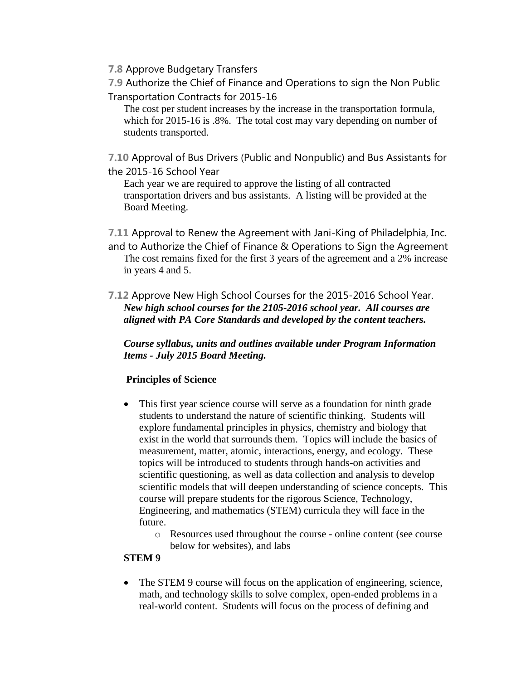- **7.8** Approve Budgetary Transfers
- **7.9** Authorize the Chief of Finance and Operations to sign the Non Public Transportation Contracts for 2015-16

The cost per student increases by the increase in the transportation formula, which for 2015-16 is .8%. The total cost may vary depending on number of students transported.

**7.10** Approval of Bus Drivers (Public and Nonpublic) and Bus Assistants for the 2015-16 School Year

Each year we are required to approve the listing of all contracted transportation drivers and bus assistants. A listing will be provided at the Board Meeting.

**7.11** Approval to Renew the Agreement with Jani-King of Philadelphia, Inc. and to Authorize the Chief of Finance & Operations to Sign the Agreement The cost remains fixed for the first 3 years of the agreement and a 2% increase in years 4 and 5.

**7.12** Approve New High School Courses for the 2015-2016 School Year. *New high school courses for the 2105-2016 school year. All courses are aligned with PA Core Standards and developed by the content teachers.* 

*Course syllabus, units and outlines available under Program Information Items - July 2015 Board Meeting.*

# **Principles of Science**

- This first year science course will serve as a foundation for ninth grade students to understand the nature of scientific thinking. Students will explore fundamental principles in physics, chemistry and biology that exist in the world that surrounds them. Topics will include the basics of measurement, matter, atomic, interactions, energy, and ecology. These topics will be introduced to students through hands-on activities and scientific questioning, as well as data collection and analysis to develop scientific models that will deepen understanding of science concepts. This course will prepare students for the rigorous Science, Technology, Engineering, and mathematics (STEM) curricula they will face in the future.
	- o Resources used throughout the course online content (see course below for websites), and labs

# **STEM 9**

 The STEM 9 course will focus on the application of engineering, science, math, and technology skills to solve complex, open-ended problems in a real-world content. Students will focus on the process of defining and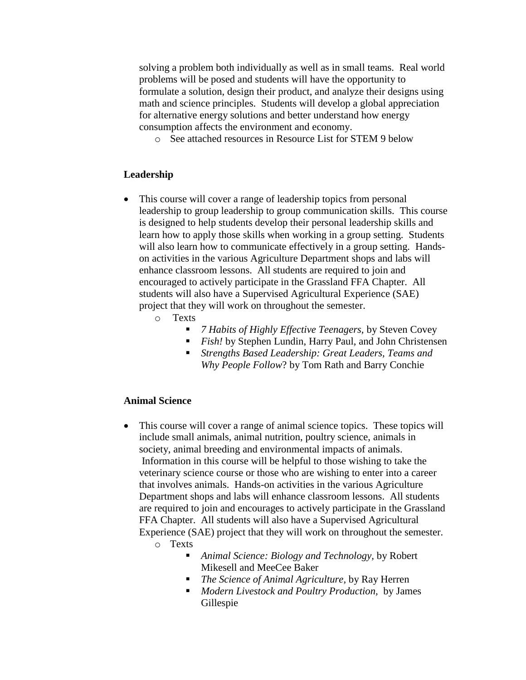solving a problem both individually as well as in small teams. Real world problems will be posed and students will have the opportunity to formulate a solution, design their product, and analyze their designs using math and science principles. Students will develop a global appreciation for alternative energy solutions and better understand how energy consumption affects the environment and economy.

o See attached resources in Resource List for STEM 9 below

# **Leadership**

- This course will cover a range of leadership topics from personal leadership to group leadership to group communication skills. This course is designed to help students develop their personal leadership skills and learn how to apply those skills when working in a group setting. Students will also learn how to communicate effectively in a group setting. Handson activities in the various Agriculture Department shops and labs will enhance classroom lessons. All students are required to join and encouraged to actively participate in the Grassland FFA Chapter. All students will also have a Supervised Agricultural Experience (SAE) project that they will work on throughout the semester.
	- o Texts
		- *7 Habits of Highly Effective Teenagers,* by Steven Covey
		- *Fish!* by Stephen Lundin, Harry Paul, and John Christensen
		- *Strengths Based Leadership: Great Leaders, Teams and Why People Follow*? by Tom Rath and Barry Conchie

#### **Animal Science**

- This course will cover a range of animal science topics. These topics will include small animals, animal nutrition, poultry science, animals in society, animal breeding and environmental impacts of animals. Information in this course will be helpful to those wishing to take the veterinary science course or those who are wishing to enter into a career that involves animals. Hands-on activities in the various Agriculture Department shops and labs will enhance classroom lessons. All students are required to join and encourages to actively participate in the Grassland FFA Chapter. All students will also have a Supervised Agricultural Experience (SAE) project that they will work on throughout the semester.
	- o Texts
		- *Animal Science: Biology and Technology,* by Robert Mikesell and MeeCee Baker
		- *The Science of Animal Agriculture,* by Ray Herren
		- *Modern Livestock and Poultry Production,* by James Gillespie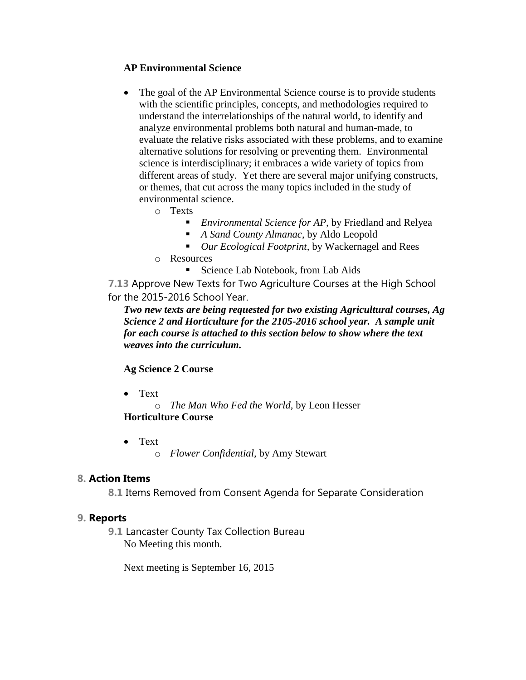# **AP Environmental Science**

- The goal of the AP Environmental Science course is to provide students with the scientific principles, concepts, and methodologies required to understand the interrelationships of the natural world, to identify and analyze environmental problems both natural and human-made, to evaluate the relative risks associated with these problems, and to examine alternative solutions for resolving or preventing them. Environmental science is interdisciplinary; it embraces a wide variety of topics from different areas of study. Yet there are several major unifying constructs, or themes, that cut across the many topics included in the study of environmental science.
	- o Texts
		- *Environmental Science for AP,* by Friedland and Relyea
		- *A Sand County Almanac*, by Aldo Leopold
		- *Our Ecological Footprint,* by Wackernagel and Rees
	- o Resources
		- Science Lab Notebook, from Lab Aids

**7.13** Approve New Texts for Two Agriculture Courses at the High School for the 2015-2016 School Year.

*Two new texts are being requested for two existing Agricultural courses, Ag Science 2 and Horticulture for the 2105-2016 school year. A sample unit for each course is attached to this section below to show where the text weaves into the curriculum.*

# **Ag Science 2 Course**

• Text

o *The Man Who Fed the World,* by Leon Hesser **Horticulture Course**

 Text o *Flower Confidential,* by Amy Stewart

# **8. Action Items**

**8.1** Items Removed from Consent Agenda for Separate Consideration

# **9. Reports**

**9.1** Lancaster County Tax Collection Bureau No Meeting this month.

Next meeting is September 16, 2015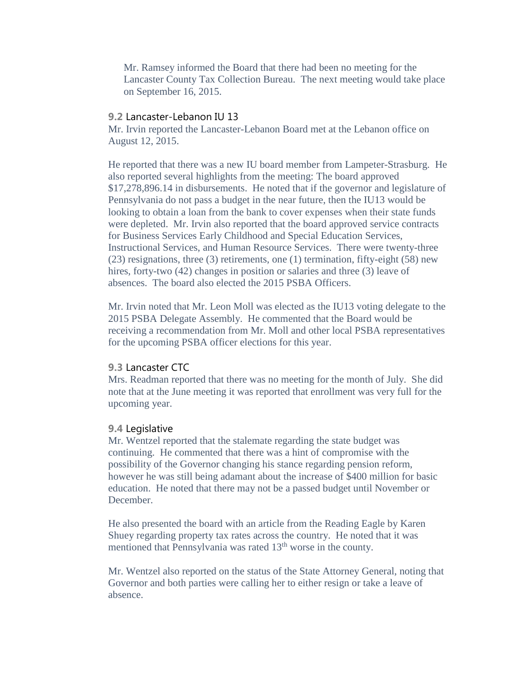Mr. Ramsey informed the Board that there had been no meeting for the Lancaster County Tax Collection Bureau. The next meeting would take place on September 16, 2015.

#### **9.2** Lancaster-Lebanon IU 13

Mr. Irvin reported the Lancaster-Lebanon Board met at the Lebanon office on August 12, 2015.

He reported that there was a new IU board member from Lampeter-Strasburg. He also reported several highlights from the meeting: The board approved \$17,278,896.14 in disbursements. He noted that if the governor and legislature of Pennsylvania do not pass a budget in the near future, then the IU13 would be looking to obtain a loan from the bank to cover expenses when their state funds were depleted. Mr. Irvin also reported that the board approved service contracts for Business Services Early Childhood and Special Education Services, Instructional Services, and Human Resource Services. There were twenty-three (23) resignations, three (3) retirements, one (1) termination, fifty-eight (58) new hires, forty-two (42) changes in position or salaries and three (3) leave of absences. The board also elected the 2015 PSBA Officers.

Mr. Irvin noted that Mr. Leon Moll was elected as the IU13 voting delegate to the 2015 PSBA Delegate Assembly. He commented that the Board would be receiving a recommendation from Mr. Moll and other local PSBA representatives for the upcoming PSBA officer elections for this year.

#### **9.3** Lancaster CTC

Mrs. Readman reported that there was no meeting for the month of July. She did note that at the June meeting it was reported that enrollment was very full for the upcoming year.

#### **9.4** Legislative

Mr. Wentzel reported that the stalemate regarding the state budget was continuing. He commented that there was a hint of compromise with the possibility of the Governor changing his stance regarding pension reform, however he was still being adamant about the increase of \$400 million for basic education. He noted that there may not be a passed budget until November or December.

He also presented the board with an article from the Reading Eagle by Karen Shuey regarding property tax rates across the country. He noted that it was mentioned that Pennsylvania was rated 13<sup>th</sup> worse in the county.

Mr. Wentzel also reported on the status of the State Attorney General, noting that Governor and both parties were calling her to either resign or take a leave of absence.